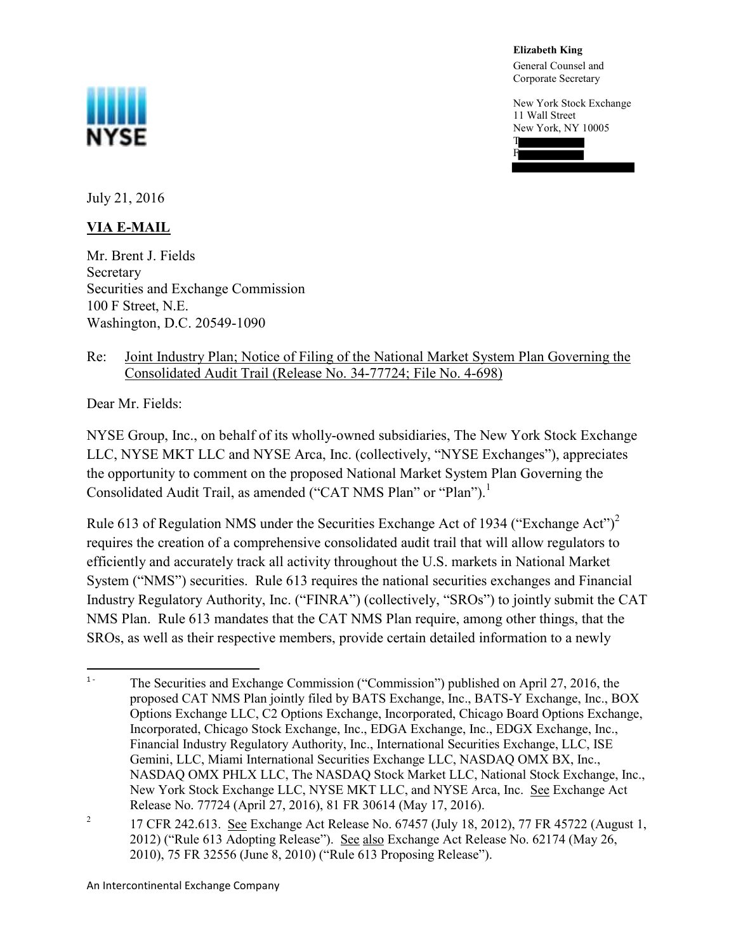NYSE

 **Elizabeth King**

F

 General Counsel and Corporate Secretary

 New York Stock Exchange 11 Wall Street New York, NY 10005 T

July 21, 2016

## **VIA E-MAIL**

 Mr. Brent J. Fields Securities and Exchange Commission 100 F Street, N.E. Washington, D.C. 20549-1090 Secretary

## Re: Joint Industry Plan; Notice of Filing of the National Market System Plan Governing the Consolidated Audit Trail (Release No. 34-77724; File No. 4-698)

Dear Mr. Fields:

NYSE Group, Inc., on behalf of its wholly-owned subsidiaries, The New York Stock Exchange LLC, NYSE MKT LLC and NYSE Arca, Inc. (collectively, "NYSE Exchanges"), appreciates the opportunity to comment on the proposed National Market System Plan Governing the Consolidated Audit Trail, as amended ("CAT NMS Plan" or "Plan").<sup>1</sup>

Rule 613 of Regulation NMS under the Securities Exchange Act of 1934 ("Exchange Act")<sup>2</sup> requires the creation of a comprehensive consolidated audit trail that will allow regulators to efficiently and accurately track all activity throughout the U.S. markets in National Market System ("NMS") securities. Rule 613 requires the national securities exchanges and Financial Industry Regulatory Authority, Inc. ("FINRA") (collectively, "SROs") to jointly submit the CAT NMS Plan. Rule 613 mandates that the CAT NMS Plan require, among other things, that the SROs, as well as their respective members, provide certain detailed information to a newly

 $1 -$ <sup>1</sup> The Securities and Exchange Commission ("Commission") published on April 27, 2016, the proposed CAT NMS Plan jointly filed by BATS Exchange, Inc., BATSY Exchange, Inc., BOX Options Exchange LLC, C2 Options Exchange, Incorporated, Chicago Board Options Exchange, Incorporated, Chicago Stock Exchange, Inc., EDGA Exchange, Inc., EDGX Exchange, Inc., Financial Industry Regulatory Authority, Inc., International Securities Exchange, LLC, ISE Gemini, LLC, Miami International Securities Exchange LLC, NASDAQ OMX BX, Inc., NASDAQ OMX PHLX LLC, The NASDAQ Stock Market LLC, National Stock Exchange, Inc., New York Stock Exchange LLC, NYSE MKT LLC, and NYSE Arca, Inc. See Exchange Act Release No. 77724 (April 27, 2016), 81 FR 30614 (May 17, 2016).

<sup>&</sup>lt;sup>2</sup> 17 CFR 242.613. See Exchange Act Release No. 67457 (July 18, 2012), 77 FR 45722 (August 1, 2012) ("Rule 613 Adopting Release"). See also Exchange Act Release No. 62174 (May 26, 2010), 75 FR 32556 (June 8, 2010) ("Rule 613 Proposing Release").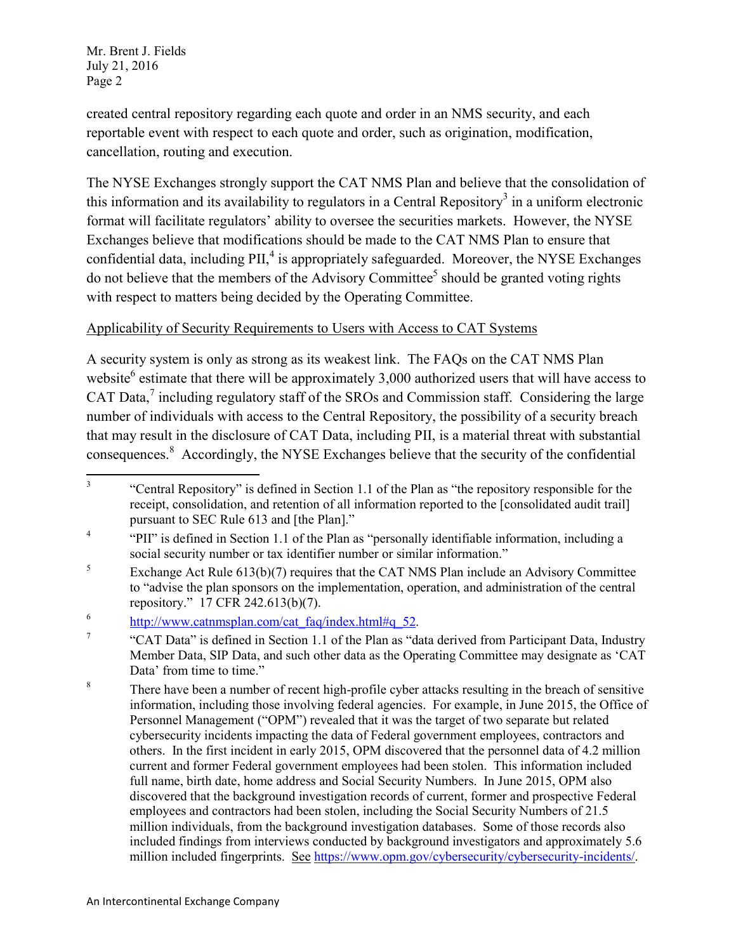created central repository regarding each quote and order in an NMS security, and each reportable event with respect to each quote and order, such as origination, modification, cancellation, routing and execution.

 The NYSE Exchanges strongly support the CAT NMS Plan and believe that the consolidation of this information and its availability to regulators in a Central Repository<sup>3</sup> in a uniform electronic format will facilitate regulators' ability to oversee the securities markets. However, the NYSE Exchanges believe that modifications should be made to the CAT NMS Plan to ensure that confidential data, including  $\text{PII}$ ,  $^4$  is appropriately safeguarded. Moreover, the NYSE Exchanges do not believe that the members of the Advisory Committee<sup>5</sup> should be granted voting rights with respect to matters being decided by the Operating Committee.

## Applicability of Security Requirements to Users with Access to CAT Systems

 A security system is only as strong as its weakest link. The FAQs on the CAT NMS Plan website<sup>6</sup> estimate that there will be approximately  $3,000$  authorized users that will have access to CAT Data, $^7$  including regulatory staff of the SROs and Commission staff. Considering the large number of individuals with access to the Central Repository, the possibility of a security breach that may result in the disclosure of CAT Data, including PII, is a material threat with substantial consequences.<sup>8</sup> Accordingly, the NYSE Exchanges believe that the security of the confidential

 $\overline{3}$ <sup>3</sup> "Central Repository" is defined in Section 1.1 of the Plan as "the repository responsible for the receipt, consolidation, and retention of all information reported to the [consolidated audit trail] pursuant to SEC Rule 613 and [the Plan]."

<sup>&</sup>lt;sup>4</sup> "PII" is defined in Section 1.1 of the Plan as "personally identifiable information, including a social security number or tax identifier number or similar information."

 $5$  Exchange Act Rule 613(b)(7) requires that the CAT NMS Plan include an Advisory Committee to "advise the plan sponsors on the implementation, operation, and administration of the central repository." 17 CFR 242.613(b)(7).

<sup>&</sup>lt;sup>6</sup> http://www.catnmsplan.com/cat\_faq/index.html#q\_52.

<sup>&</sup>lt;sup>7</sup> "CAT Data" is defined in Section 1.1 of the Plan as "data derived from Participant Data, Industry Member Data, SIP Data, and such other data as the Operating Committee may designate as 'CAT Data' from time to time."

<sup>&</sup>lt;sup>8</sup> There have been a number of recent high-profile cyber attacks resulting in the breach of sensitive information, including those involving federal agencies. For example, in June 2015, the Office of Personnel Management ("OPM") revealed that it was the target of two separate but related cybersecurity incidents impacting the data of Federal government employees, contractors and others. In the first incident in early 2015, OPM discovered that the personnel data of 4.2 million current and former Federal government employees had been stolen. This information included full name, birth date, home address and Social Security Numbers. In June 2015, OPM also discovered that the background investigation records of current, former and prospective Federal employees and contractors had been stolen, including the Social Security Numbers of 21.5 million individuals, from the background investigation databases. Some of those records also included findings from interviews conducted by background investigators and approximately 5.6 million included fingerprints. See https://www.opm.gov/cybersecurity/cybersecurity-incidents/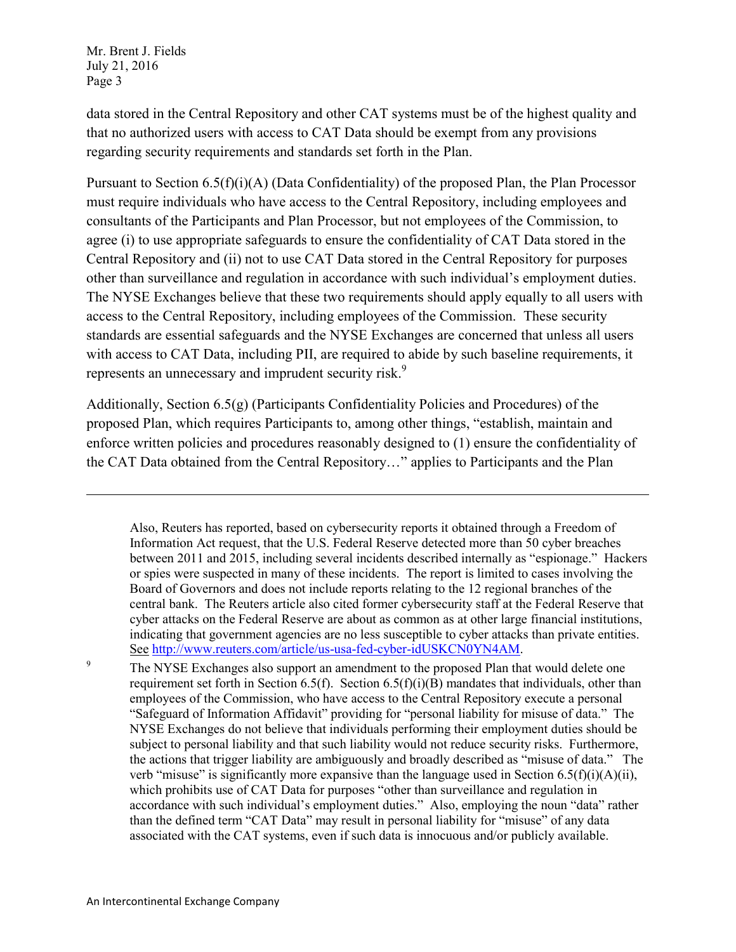l

 data stored in the Central Repository and other CAT systems must be of the highest quality and that no authorized users with access to CAT Data should be exempt from any provisions regarding security requirements and standards set forth in the Plan.

 Pursuant to Section 6.5(f)(i)(A) (Data Confidentiality) of the proposed Plan, the Plan Processor must require individuals who have access to the Central Repository, including employees and consultants of the Participants and Plan Processor, but not employees of the Commission, to agree (i) to use appropriate safeguards to ensure the confidentiality of CAT Data stored in the Central Repository and (ii) not to use CAT Data stored in the Central Repository for purposes other than surveillance and regulation in accordance with such individual's employment duties. The NYSE Exchanges believe that these two requirements should apply equally to all users with access to the Central Repository, including employees of the Commission. These security standards are essential safeguards and the NYSE Exchanges are concerned that unless all users with access to CAT Data, including PII, are required to abide by such baseline requirements, it represents an unnecessary and imprudent security risk.<sup>9</sup>

 Additionally, Section 6.5(g) (Participants Confidentiality Policies and Procedures) of the proposed Plan, which requires Participants to, among other things, "establish, maintain and enforce written policies and procedures reasonably designed to (1) ensure the confidentiality of the CAT Data obtained from the Central Repository…" applies to Participants and the Plan

 Also, Reuters has reported, based on cybersecurity reports it obtained through a Freedom of Information Act request, that the U.S. Federal Reserve detected more than 50 cyber breaches between 2011 and 2015, including several incidents described internally as "espionage." Hackers or spies were suspected in many of these incidents. The report is limited to cases involving the Board of Governors and does not include reports relating to the 12 regional branches of the central bank. The Reuters article also cited former cybersecurity staff at the Federal Reserve that cyber attacks on the Federal Reserve are about as common as at other large financial institutions, indicating that government agencies are no less susceptible to cyber attacks than private entities. See http://www.reuters.com/article/us-usa-fed-cyber-idUSKCN0YN4AM.

 The NYSE Exchanges also support an amendment to the proposed Plan that would delete one requirement set forth in Section 6.5(f). Section  $6.5(f)(i)(B)$  mandates that individuals, other than employees of the Commission, who have access to the Central Repository execute a personal "Safeguard of Information Affidavit" providing for "personal liability for misuse of data." The NYSE Exchanges do not believe that individuals performing their employment duties should be subject to personal liability and that such liability would not reduce security risks. Furthermore, the actions that trigger liability are ambiguously and broadly described as "misuse of data." The verb "misuse" is significantly more expansive than the language used in Section  $6.5(f)(i)(A)(ii)$ , which prohibits use of CAT Data for purposes "other than surveillance and regulation in accordance with such individual's employment duties." Also, employing the noun "data" rather than the defined term "CAT Data" may result in personal liability for "misuse" of any data associated with the CAT systems, even if such data is innocuous and/or publicly available. 9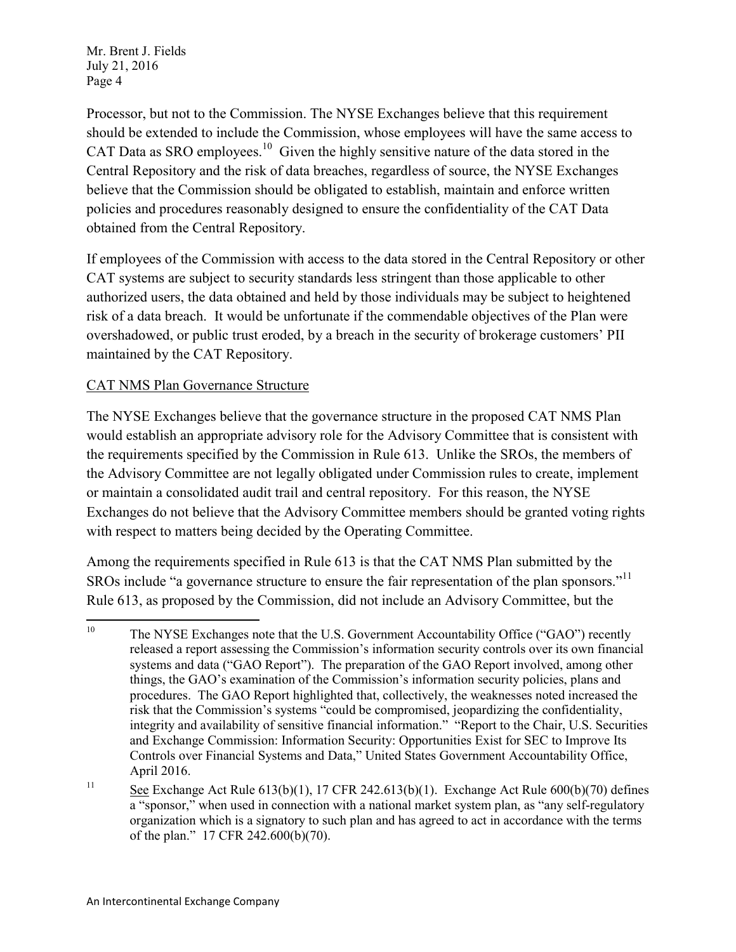Processor, but not to the Commission. The NYSE Exchanges believe that this requirement should be extended to include the Commission, whose employees will have the same access to CAT Data as SRO employees.<sup>10</sup> Given the highly sensitive nature of the data stored in the Central Repository and the risk of data breaches, regardless of source, the NYSE Exchanges believe that the Commission should be obligated to establish, maintain and enforce written policies and procedures reasonably designed to ensure the confidentiality of the CAT Data obtained from the Central Repository.

 If employees of the Commission with access to the data stored in the Central Repository or other CAT systems are subject to security standards less stringent than those applicable to other authorized users, the data obtained and held by those individuals may be subject to heightened risk of a data breach. It would be unfortunate if the commendable objectives of the Plan were overshadowed, or public trust eroded, by a breach in the security of brokerage customers' PII maintained by the CAT Repository.

## CAT NMS Plan Governance Structure

 The NYSE Exchanges believe that the governance structure in the proposed CAT NMS Plan would establish an appropriate advisory role for the Advisory Committee that is consistent with the requirements specified by the Commission in Rule 613. Unlike the SROs, the members of the Advisory Committee are not legally obligated under Commission rules to create, implement or maintain a consolidated audit trail and central repository. For this reason, the NYSE Exchanges do not believe that the Advisory Committee members should be granted voting rights with respect to matters being decided by the Operating Committee.

 Among the requirements specified in Rule 613 is that the CAT NMS Plan submitted by the SROs include "a governance structure to ensure the fair representation of the plan sponsors."<sup>11</sup> Rule 613, as proposed by the Commission, did not include an Advisory Committee, but the

 $10\,$ <sup>10</sup> The NYSE Exchanges note that the U.S. Government Accountability Office ("GAO") recently released a report assessing the Commission's information security controls over its own financial systems and data ("GAO Report"). The preparation of the GAO Report involved, among other things, the GAO's examination of the Commission's information security policies, plans and procedures. The GAO Report highlighted that, collectively, the weaknesses noted increased the risk that the Commission's systems "could be compromised, jeopardizing the confidentiality, integrity and availability of sensitive financial information." "Report to the Chair, U.S. Securities and Exchange Commission: Information Security: Opportunities Exist for SEC to Improve Its Controls over Financial Systems and Data," United States Government Accountability Office, April 2016.

 $\frac{11}{11}$  See Exchange Act Rule 613(b)(1), 17 CFR 242.613(b)(1). Exchange Act Rule 600(b)(70) defines a "sponsor," when used in connection with a national market system plan, as "any self-regulatory organization which is a signatory to such plan and has agreed to act in accordance with the terms of the plan." 17 CFR 242.600(b)(70).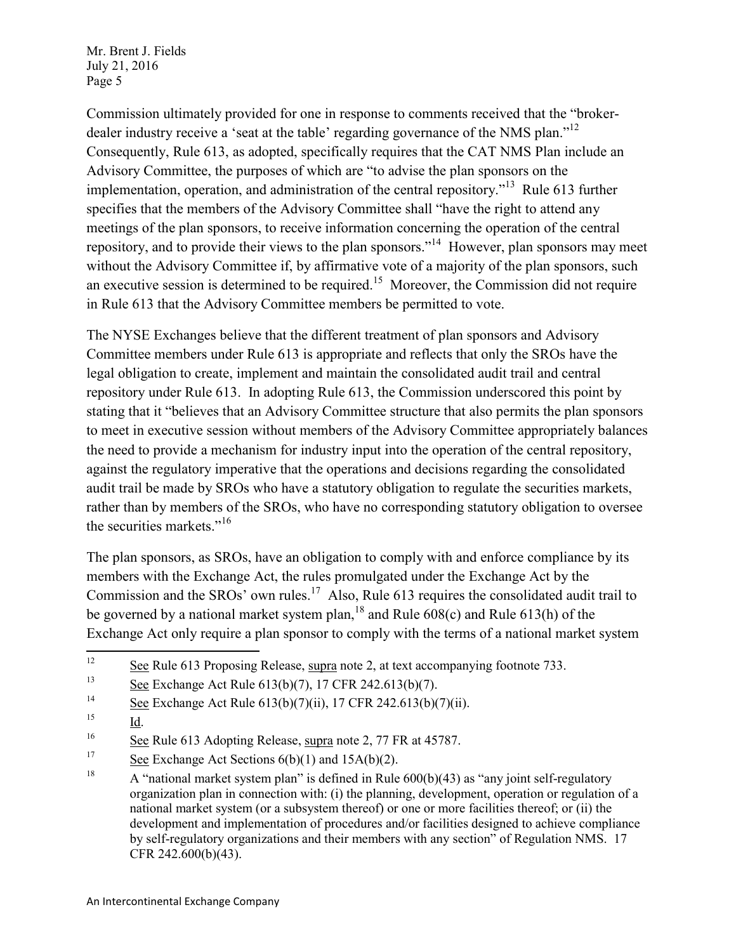Commission ultimately provided for one in response to comments received that the "brokerdealer industry receive a 'seat at the table' regarding governance of the NMS plan."<sup>12</sup> Consequently, Rule 613, as adopted, specifically requires that the CAT NMS Plan include an Advisory Committee, the purposes of which are "to advise the plan sponsors on the implementation, operation, and administration of the central repository."<sup>13</sup> Rule 613 further specifies that the members of the Advisory Committee shall "have the right to attend any meetings of the plan sponsors, to receive information concerning the operation of the central repository, and to provide their views to the plan sponsors."<sup>14</sup> However, plan sponsors may meet without the Advisory Committee if, by affirmative vote of a majority of the plan sponsors, such an executive session is determined to be required.<sup>15</sup> Moreover, the Commission did not require in Rule 613 that the Advisory Committee members be permitted to vote.

 The NYSE Exchanges believe that the different treatment of plan sponsors and Advisory Committee members under Rule 613 is appropriate and reflects that only the SROs have the legal obligation to create, implement and maintain the consolidated audit trail and central repository under Rule 613. In adopting Rule 613, the Commission underscored this point by stating that it "believes that an Advisory Committee structure that also permits the plan sponsors to meet in executive session without members of the Advisory Committee appropriately balances the need to provide a mechanism for industry input into the operation of the central repository, against the regulatory imperative that the operations and decisions regarding the consolidated audit trail be made by SROs who have a statutory obligation to regulate the securities markets, rather than by members of the SROs, who have no corresponding statutory obligation to oversee the securities markets."<sup>16</sup>

 The plan sponsors, as SROs, have an obligation to comply with and enforce compliance by its members with the Exchange Act, the rules promulgated under the Exchange Act by the Commission and the SROs' own rules.<sup>17</sup> Also, Rule 613 requires the consolidated audit trail to be governed by a national market system plan,  $^{18}$  and Rule 608(c) and Rule 613(h) of the Exchange Act only require a plan sponsor to comply with the terms of a national market system

 $\frac{15}{\underline{d}}$ .

 $12$  $\frac{12}{2}$  See Rule 613 Proposing Release, supra note 2, at text accompanying footnote 733.

 $\frac{13}{13}$  See Exchange Act Rule 613(b)(7), 17 CFR 242.613(b)(7).

<sup>&</sup>lt;sup>14</sup> See Exchange Act Rule 613(b)(7)(ii), 17 CFR 242.613(b)(7)(ii).

 $16$  See Rule 613 Adopting Release, supra note 2, 77 FR at 45787.

 $\frac{17}{2}$  See Exchange Act Sections 6(b)(1) and 15A(b)(2).

<sup>&</sup>lt;sup>18</sup> A "national market system plan" is defined in Rule  $600(b)(43)$  as "any joint self-regulatory organization plan in connection with: (i) the planning, development, operation or regulation of a national market system (or a subsystem thereof) or one or more facilities thereof; or (ii) the development and implementation of procedures and/or facilities designed to achieve compliance by self-regulatory organizations and their members with any section" of Regulation NMS. 17 CFR 242.600(b)(43).